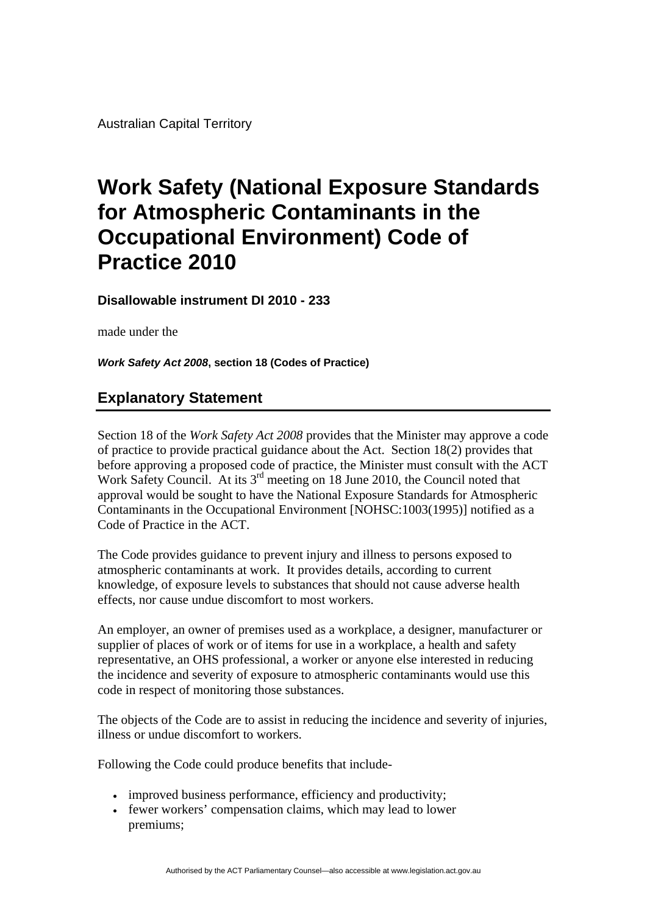Australian Capital Territory

## **Work Safety (National Exposure Standards for Atmospheric Contaminants in the Occupational Environment) Code of Practice 2010**

**Disallowable instrument DI 2010 - 233**

made under the

*Work Safety Act 2008***, section 18 (Codes of Practice)** 

## **Explanatory Statement**

Section 18 of the *Work Safety Act 2008* provides that the Minister may approve a code of practice to provide practical guidance about the Act. Section 18(2) provides that before approving a proposed code of practice, the Minister must consult with the ACT Work Safety Council. At its 3<sup>rd</sup> meeting on 18 June 2010, the Council noted that approval would be sought to have the National Exposure Standards for Atmospheric Contaminants in the Occupational Environment [NOHSC:1003(1995)] notified as a Code of Practice in the ACT.

The Code provides guidance to prevent injury and illness to persons exposed to atmospheric contaminants at work. It provides details, according to current knowledge, of exposure levels to substances that should not cause adverse health effects, nor cause undue discomfort to most workers.

An employer, an owner of premises used as a workplace, a designer, manufacturer or supplier of places of work or of items for use in a workplace, a health and safety representative, an OHS professional, a worker or anyone else interested in reducing the incidence and severity of exposure to atmospheric contaminants would use this code in respect of monitoring those substances.

The objects of the Code are to assist in reducing the incidence and severity of injuries, illness or undue discomfort to workers.

Following the Code could produce benefits that include-

- improved business performance, efficiency and productivity;
- fewer workers' compensation claims, which may lead to lower premiums;